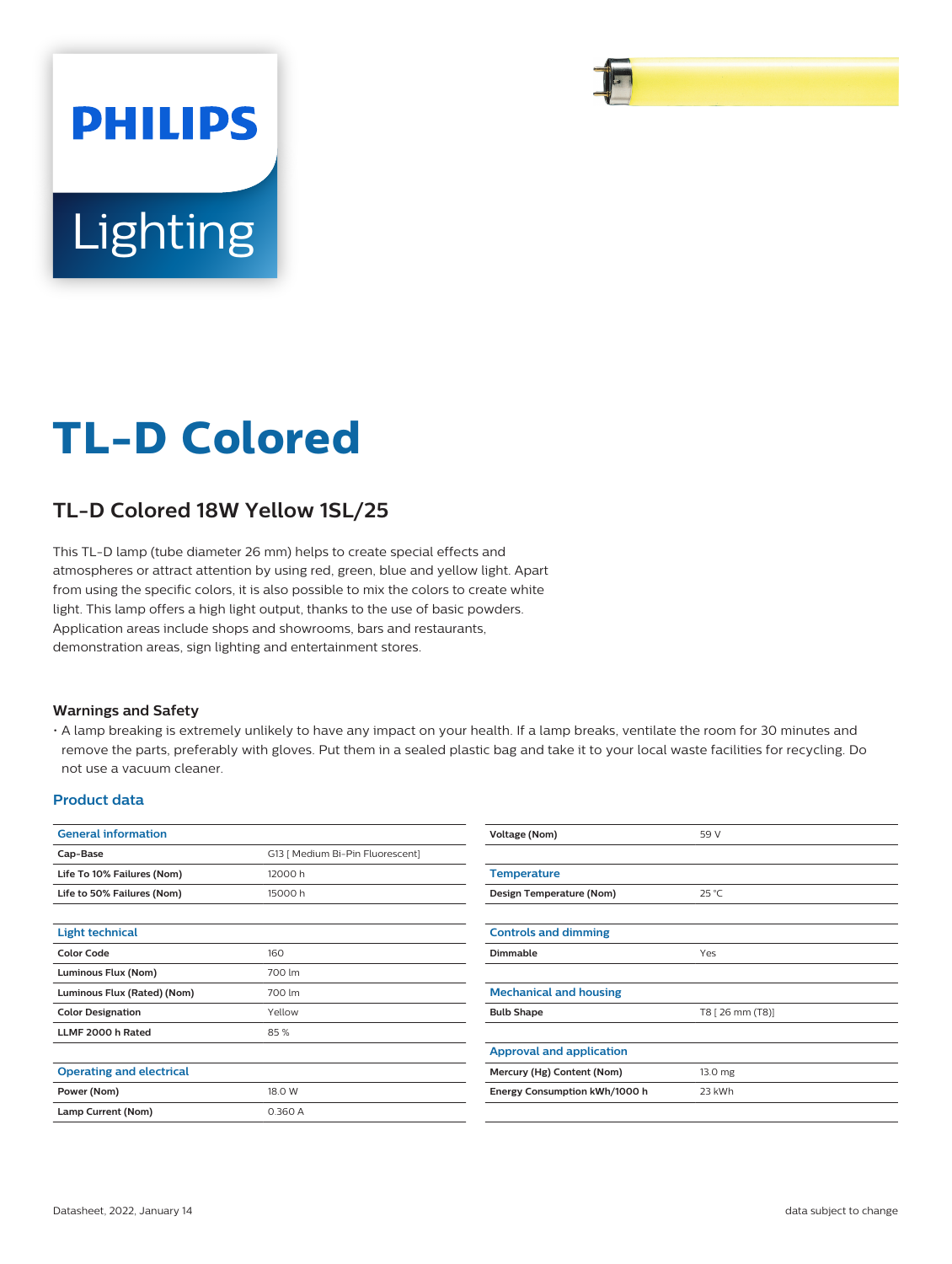

# **TL-D Colored**

## **TL-D Colored 18W Yellow 1SL/25**

This TL-D lamp (tube diameter 26 mm) helps to create special effects and atmospheres or attract attention by using red, green, blue and yellow light. Apart from using the specific colors, it is also possible to mix the colors to create white light. This lamp offers a high light output, thanks to the use of basic powders. Application areas include shops and showrooms, bars and restaurants, demonstration areas, sign lighting and entertainment stores.

#### **Warnings and Safety**

• A lamp breaking is extremely unlikely to have any impact on your health. If a lamp breaks, ventilate the room for 30 minutes and remove the parts, preferably with gloves. Put them in a sealed plastic bag and take it to your local waste facilities for recycling. Do not use a vacuum cleaner.

#### **Product data**

| <b>General information</b>      |                                  | <b>Voltage (Nom)</b>            | 59 V             |  |
|---------------------------------|----------------------------------|---------------------------------|------------------|--|
| Cap-Base                        | G13   Medium Bi-Pin Fluorescent] |                                 |                  |  |
| Life To 10% Failures (Nom)      | 12000 h                          | <b>Temperature</b>              |                  |  |
| Life to 50% Failures (Nom)      | 15000 h                          | Design Temperature (Nom)        | $25^{\circ}$ C   |  |
| <b>Light technical</b>          |                                  | <b>Controls and dimming</b>     |                  |  |
| <b>Color Code</b>               | 160                              | Dimmable                        | Yes              |  |
| Luminous Flux (Nom)             | 700 lm                           |                                 |                  |  |
| Luminous Flux (Rated) (Nom)     | 700 lm                           | <b>Mechanical and housing</b>   |                  |  |
| <b>Color Designation</b>        | Yellow                           | <b>Bulb Shape</b>               | T8 [ 26 mm (T8)] |  |
| LLMF 2000 h Rated               | 85%                              |                                 |                  |  |
|                                 |                                  | <b>Approval and application</b> |                  |  |
| <b>Operating and electrical</b> |                                  | Mercury (Hg) Content (Nom)      | 13.0 mg          |  |
| Power (Nom)                     | 18.0 W                           | Energy Consumption kWh/1000 h   | 23 kWh           |  |
| Lamp Current (Nom)              | 0.360 A                          |                                 |                  |  |